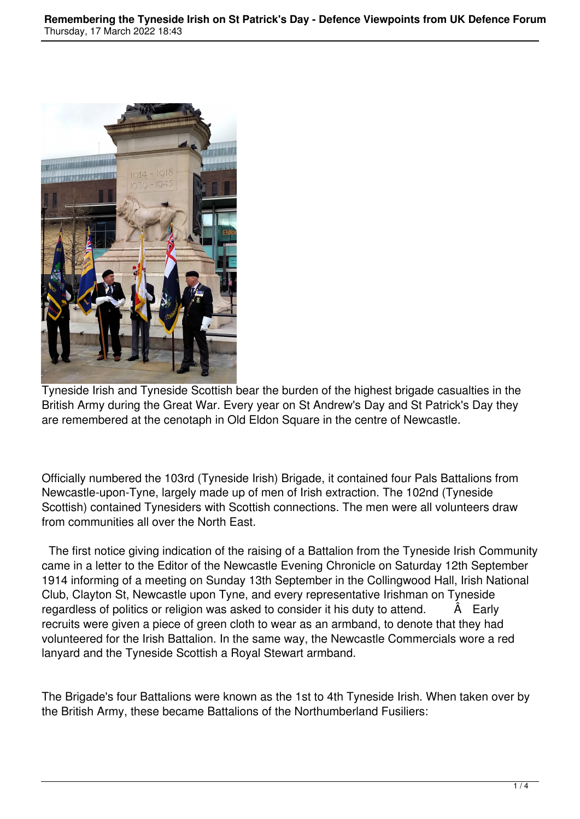

Tyneside Irish and Tyneside Scottish bear the burden of the highest brigade casualties in the British Army during the Great War. Every year on St Andrew's Day and St Patrick's Day they are remembered at the cenotaph in Old Eldon Square in the centre of Newcastle.

Officially numbered the 103rd (Tyneside Irish) Brigade, it contained four Pals Battalions from Newcastle-upon-Tyne, largely made up of men of Irish extraction. The 102nd (Tyneside Scottish) contained Tynesiders with Scottish connections. The men were all volunteers draw from communities all over the North East.

 The first notice giving indication of the raising of a Battalion from the Tyneside Irish Community came in a letter to the Editor of the Newcastle Evening Chronicle on Saturday 12th September 1914 informing of a meeting on Sunday 13th September in the Collingwood Hall, Irish National Club, Clayton St, Newcastle upon Tyne, and every representative Irishman on Tyneside regardless of politics or religion was asked to consider it his duty to attend.  $\hat{A}$  Early recruits were given a piece of green cloth to wear as an armband, to denote that they had volunteered for the Irish Battalion. In the same way, the Newcastle Commercials wore a red lanyard and the Tyneside Scottish a Royal Stewart armband.

The Brigade's four Battalions were known as the 1st to 4th Tyneside Irish. When taken over by the British Army, these became Battalions of the Northumberland Fusiliers: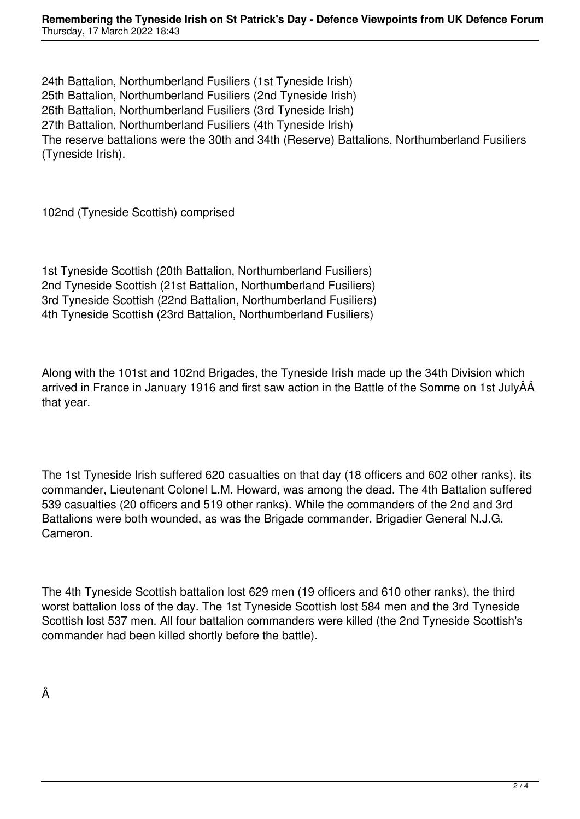24th Battalion, Northumberland Fusiliers (1st Tyneside Irish) 25th Battalion, Northumberland Fusiliers (2nd Tyneside Irish) 26th Battalion, Northumberland Fusiliers (3rd Tyneside Irish) 27th Battalion, Northumberland Fusiliers (4th Tyneside Irish) The reserve battalions were the 30th and 34th (Reserve) Battalions, Northumberland Fusiliers (Tyneside Irish).

102nd (Tyneside Scottish) comprised

1st Tyneside Scottish (20th Battalion, Northumberland Fusiliers) 2nd Tyneside Scottish (21st Battalion, Northumberland Fusiliers) 3rd Tyneside Scottish (22nd Battalion, Northumberland Fusiliers) 4th Tyneside Scottish (23rd Battalion, Northumberland Fusiliers)

Along with the 101st and 102nd Brigades, the Tyneside Irish made up the 34th Division which arrived in France in January 1916 and first saw action in the Battle of the Somme on 1st JulyÂÂ that year.

The 1st Tyneside Irish suffered 620 casualties on that day (18 officers and 602 other ranks), its commander, Lieutenant Colonel L.M. Howard, was among the dead. The 4th Battalion suffered 539 casualties (20 officers and 519 other ranks). While the commanders of the 2nd and 3rd Battalions were both wounded, as was the Brigade commander, Brigadier General N.J.G. Cameron.

The 4th Tyneside Scottish battalion lost 629 men (19 officers and 610 other ranks), the third worst battalion loss of the day. The 1st Tyneside Scottish lost 584 men and the 3rd Tyneside Scottish lost 537 men. All four battalion commanders were killed (the 2nd Tyneside Scottish's commander had been killed shortly before the battle).

Â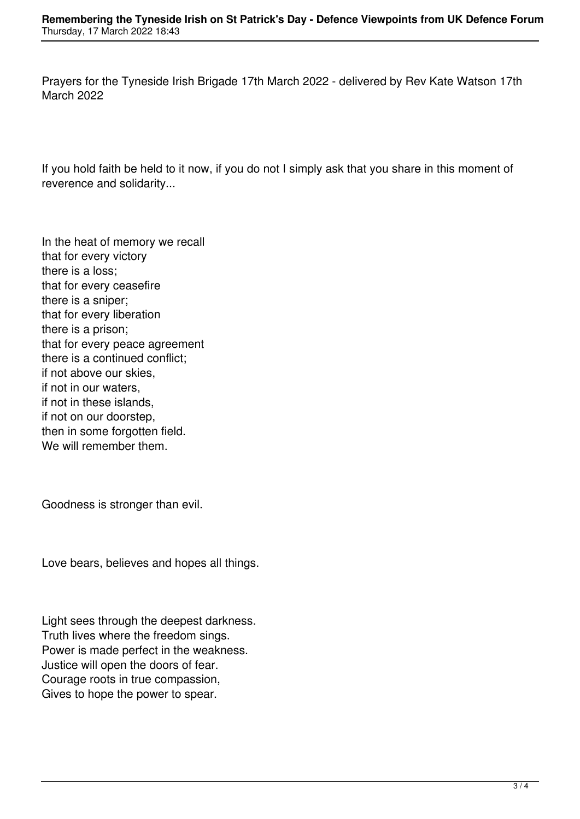Prayers for the Tyneside Irish Brigade 17th March 2022 - delivered by Rev Kate Watson 17th March 2022

If you hold faith be held to it now, if you do not I simply ask that you share in this moment of reverence and solidarity...

In the heat of memory we recall that for every victory there is a loss; that for every ceasefire there is a sniper; that for every liberation there is a prison; that for every peace agreement there is a continued conflict; if not above our skies, if not in our waters, if not in these islands, if not on our doorstep, then in some forgotten field. We will remember them.

Goodness is stronger than evil.

Love bears, believes and hopes all things.

Light sees through the deepest darkness. Truth lives where the freedom sings. Power is made perfect in the weakness. Justice will open the doors of fear. Courage roots in true compassion, Gives to hope the power to spear.